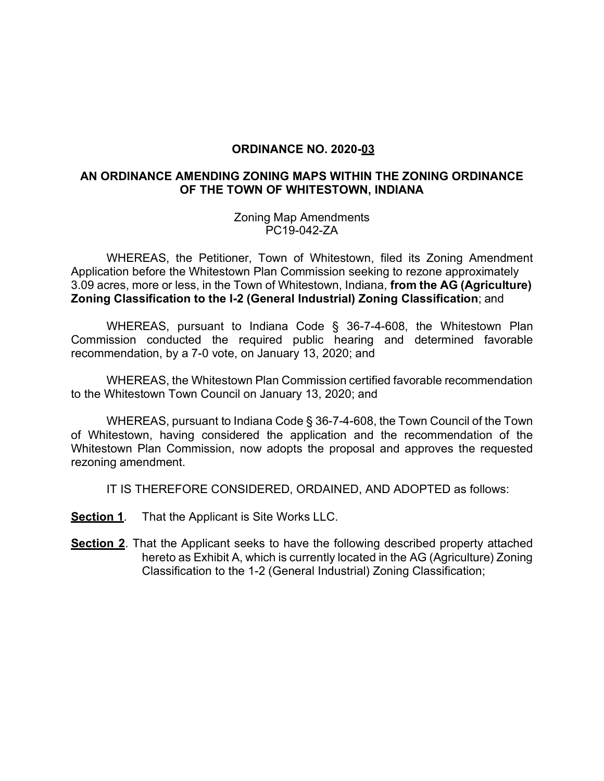## **ORDINANCE NO. 2020-03**

## **AN ORDINANCE AMENDING ZONING MAPS WITHIN THE ZONING ORDINANCE OF THE TOWN OF WHITESTOWN, INDIANA**

Zoning Map Amendments PC19-042-ZA

WHEREAS, the Petitioner, Town of Whitestown, filed its Zoning Amendment Application before the Whitestown Plan Commission seeking to rezone approximately 3.09 acres, more or less, in the Town of Whitestown, Indiana, **from the AG (Agriculture) Zoning Classification to the I-2 (General Industrial) Zoning Classification**; and

WHEREAS, pursuant to Indiana Code § 36-7-4-608, the Whitestown Plan Commission conducted the required public hearing and determined favorable recommendation, by a 7-0 vote, on January 13, 2020; and

WHEREAS, the Whitestown Plan Commission certified favorable recommendation to the Whitestown Town Council on January 13, 2020; and

WHEREAS, pursuant to Indiana Code § 36-7-4-608, the Town Council of the Town of Whitestown, having considered the application and the recommendation of the Whitestown Plan Commission, now adopts the proposal and approves the requested rezoning amendment.

IT IS THEREFORE CONSIDERED, ORDAINED, AND ADOPTED as follows:

**Section 1**. That the Applicant is Site Works LLC.

**Section 2**. That the Applicant seeks to have the following described property attached hereto as Exhibit A, which is currently located in the AG (Agriculture) Zoning Classification to the 1-2 (General Industrial) Zoning Classification;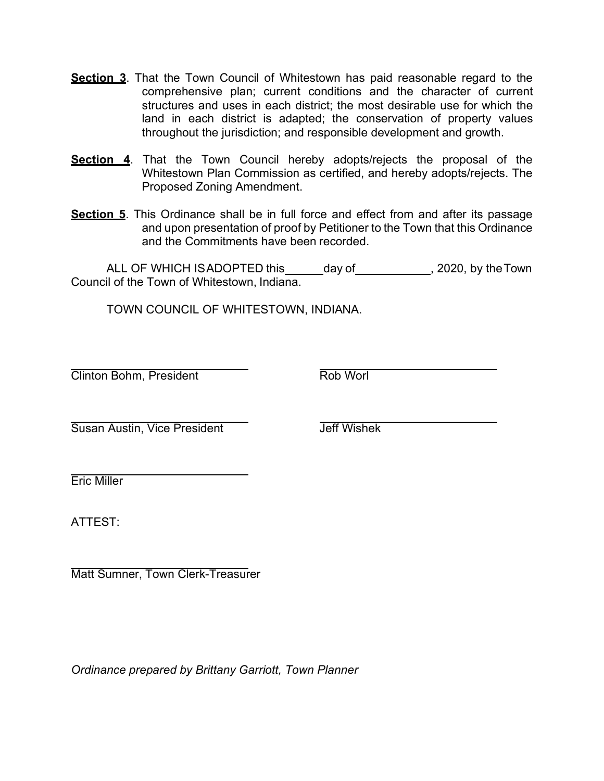- **Section 3**. That the Town Council of Whitestown has paid reasonable regard to the comprehensive plan; current conditions and the character of current structures and uses in each district; the most desirable use for which the land in each district is adapted; the conservation of property values throughout the jurisdiction; and responsible development and growth.
- **Section 4**. That the Town Council hereby adopts/rejects the proposal of the Whitestown Plan Commission as certified, and hereby adopts/rejects. The Proposed Zoning Amendment.
- **Section 5**. This Ordinance shall be in full force and effect from and after its passage and upon presentation of proof by Petitioner to the Town that this Ordinance and the Commitments have been recorded.

ALL OF WHICH ISADOPTED this day of 1942, 2020, by the Town Council of the Town of Whitestown, Indiana.

TOWN COUNCIL OF WHITESTOWN, INDIANA.

**Clinton Bohm, President Clinton Bohm, President Clinton Rob Worl** 

Susan Austin, Vice President The Team Jeff Wishek

Eric Miller

ATTEST:

Matt Sumner, Town Clerk-Treasurer

*Ordinance prepared by Brittany Garriott, Town Planner*